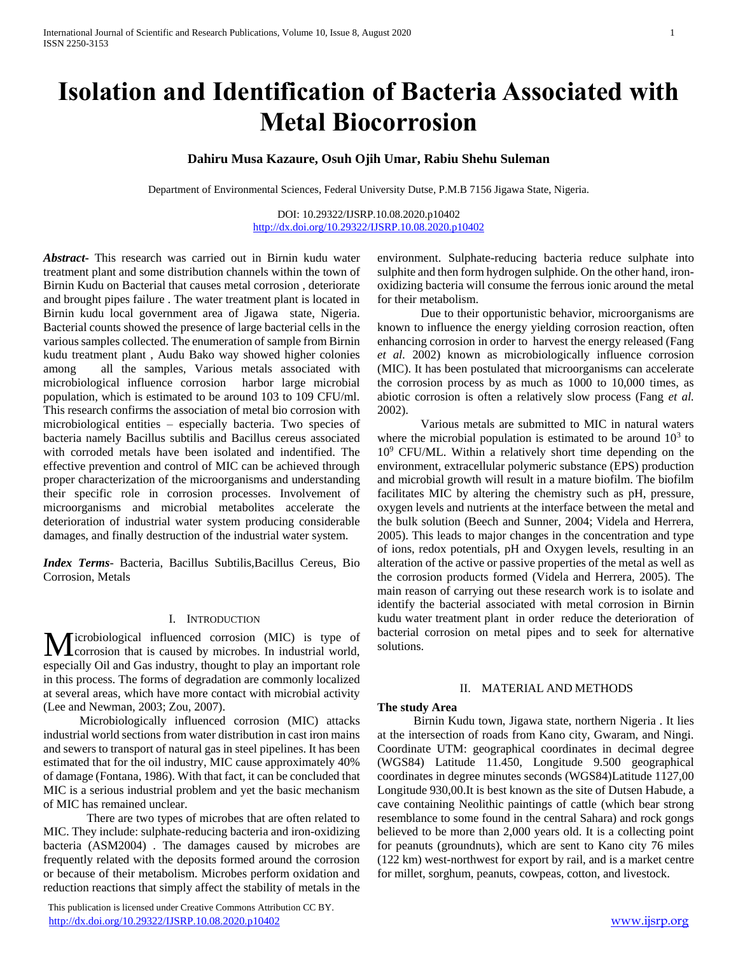# **Isolation and Identification of Bacteria Associated with Metal Biocorrosion**

# **Dahiru Musa Kazaure, Osuh Ojih Umar, Rabiu Shehu Suleman**

Department of Environmental Sciences, Federal University Dutse, P.M.B 7156 Jigawa State, Nigeria.

DOI: 10.29322/IJSRP.10.08.2020.p10402 <http://dx.doi.org/10.29322/IJSRP.10.08.2020.p10402>

*Abstract***-** This research was carried out in Birnin kudu water treatment plant and some distribution channels within the town of Birnin Kudu on Bacterial that causes metal corrosion , deteriorate and brought pipes failure . The water treatment plant is located in Birnin kudu local government area of Jigawa state, Nigeria. Bacterial counts showed the presence of large bacterial cells in the various samples collected. The enumeration of sample from Birnin kudu treatment plant , Audu Bako way showed higher colonies among all the samples, Various metals associated with microbiological influence corrosion harbor large microbial population, which is estimated to be around 103 to 109 CFU/ml. This research confirms the association of metal bio corrosion with microbiological entities – especially bacteria. Two species of bacteria namely Bacillus subtilis and Bacillus cereus associated with corroded metals have been isolated and indentified. The effective prevention and control of MIC can be achieved through proper characterization of the microorganisms and understanding their specific role in corrosion processes. Involvement of microorganisms and microbial metabolites accelerate the deterioration of industrial water system producing considerable damages, and finally destruction of the industrial water system.

*Index Terms*- Bacteria, Bacillus Subtilis,Bacillus Cereus, Bio Corrosion, Metals

#### I. INTRODUCTION

icrobiological influenced corrosion (MIC) is type of Microbiological influenced corrosion (MIC) is type of corrosion that is caused by microbes. In industrial world, especially Oil and Gas industry, thought to play an important role in this process. The forms of degradation are commonly localized at several areas, which have more contact with microbial activity (Lee and Newman, 2003; Zou, 2007).

 Microbiologically influenced corrosion (MIC) attacks industrial world sections from water distribution in cast iron mains and sewers to transport of natural gas in steel pipelines. It has been estimated that for the oil industry, MIC cause approximately 40% of damage (Fontana, 1986). With that fact, it can be concluded that MIC is a serious industrial problem and yet the basic mechanism of MIC has remained unclear.

There are two types of microbes that are often related to MIC. They include: sulphate-reducing bacteria and iron-oxidizing bacteria (ASM2004) . The damages caused by microbes are frequently related with the deposits formed around the corrosion or because of their metabolism. Microbes perform oxidation and reduction reactions that simply affect the stability of metals in the

 This publication is licensed under Creative Commons Attribution CC BY. <http://dx.doi.org/10.29322/IJSRP.10.08.2020.p10402> [www.ijsrp.org](http://ijsrp.org/)

environment. Sulphate-reducing bacteria reduce sulphate into sulphite and then form hydrogen sulphide. On the other hand, ironoxidizing bacteria will consume the ferrous ionic around the metal for their metabolism.

Due to their opportunistic behavior, microorganisms are known to influence the energy yielding corrosion reaction, often enhancing corrosion in order to harvest the energy released (Fang *et al.* 2002) known as microbiologically influence corrosion (MIC). It has been postulated that microorganisms can accelerate the corrosion process by as much as 1000 to 10,000 times, as abiotic corrosion is often a relatively slow process (Fang *et al.*  2002).

Various metals are submitted to MIC in natural waters where the microbial population is estimated to be around  $10<sup>3</sup>$  to  $10<sup>9</sup>$  CFU/ML. Within a relatively short time depending on the environment, extracellular polymeric substance (EPS) production and microbial growth will result in a mature biofilm. The biofilm facilitates MIC by altering the chemistry such as pH, pressure, oxygen levels and nutrients at the interface between the metal and the bulk solution (Beech and Sunner, 2004; Videla and Herrera, 2005). This leads to major changes in the concentration and type of ions, redox potentials, pH and Oxygen levels, resulting in an alteration of the active or passive properties of the metal as well as the corrosion products formed (Videla and Herrera, 2005). The main reason of carrying out these research work is to isolate and identify the bacterial associated with metal corrosion in Birnin kudu water treatment plant in order reduce the deterioration of bacterial corrosion on metal pipes and to seek for alternative solutions.

# II. MATERIAL AND METHODS

#### **The study Area**

 Birnin Kudu town, Jigawa state, northern Nigeria . It lies at the intersection of roads from Kano city, Gwaram, and Ningi. Coordinate UTM: geographical coordinates in decimal degree (WGS84) Latitude 11.450, Longitude 9.500 geographical coordinates in degree minutes seconds (WGS84)Latitude 1127,00 Longitude 930,00.It is best known as the site of Dutsen Habude, a cave containing Neolithic paintings of cattle (which bear strong resemblance to some found in the central Sahara) and rock gongs believed to be more than 2,000 years old. It is a collecting point for peanuts (groundnuts), which are sent to Kano city 76 miles (122 km) west-northwest for export by rail, and is a market centre for millet, sorghum, peanuts, cowpeas, cotton, and livestock.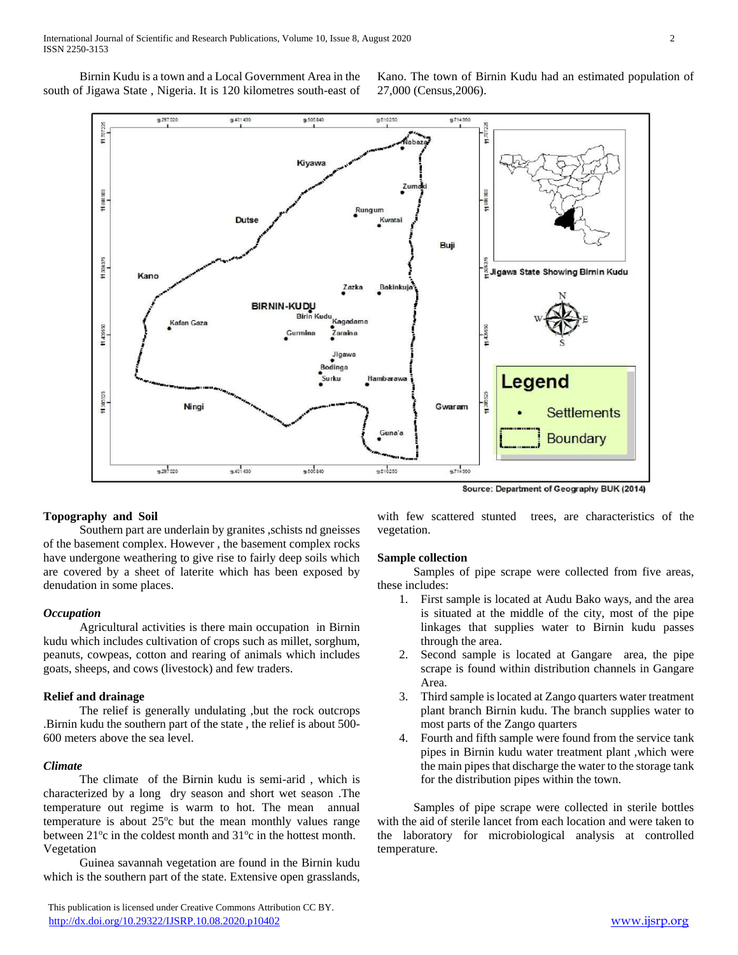Birnin Kudu is a town and a Local Government Area in the south of Jigawa State , Nigeria. It is 120 kilometres south-east of Kano. The town of Birnin Kudu had an estimated population of 27,000 (Census,2006).



# **Topography and Soil**

 Southern part are underlain by granites ,schists nd gneisses of the basement complex. However , the basement complex rocks have undergone weathering to give rise to fairly deep soils which are covered by a sheet of laterite which has been exposed by denudation in some places.

#### *Occupation*

 Agricultural activities is there main occupation in Birnin kudu which includes cultivation of crops such as millet, sorghum, peanuts, cowpeas, cotton and rearing of animals which includes goats, sheeps, and cows (livestock) and few traders.

#### **Relief and drainage**

 The relief is generally undulating ,but the rock outcrops .Birnin kudu the southern part of the state , the relief is about 500- 600 meters above the sea level.

#### *Climate*

 The climate of the Birnin kudu is semi-arid , which is characterized by a long dry season and short wet season .The temperature out regime is warm to hot. The mean annual temperature is about  $25^{\circ}$ c but the mean monthly values range between 21<sup>o</sup>c in the coldest month and 31<sup>o</sup>c in the hottest month. Vegetation

 Guinea savannah vegetation are found in the Birnin kudu which is the southern part of the state. Extensive open grasslands,

 This publication is licensed under Creative Commons Attribution CC BY. <http://dx.doi.org/10.29322/IJSRP.10.08.2020.p10402> [www.ijsrp.org](http://ijsrp.org/)

with few scattered stunted trees, are characteristics of the vegetation.

#### **Sample collection**

 Samples of pipe scrape were collected from five areas, these includes:

- 1. First sample is located at Audu Bako ways, and the area is situated at the middle of the city, most of the pipe linkages that supplies water to Birnin kudu passes through the area.
- 2. Second sample is located at Gangare area, the pipe scrape is found within distribution channels in Gangare Area.
- 3. Third sample is located at Zango quarters water treatment plant branch Birnin kudu. The branch supplies water to most parts of the Zango quarters
- 4. Fourth and fifth sample were found from the service tank pipes in Birnin kudu water treatment plant ,which were the main pipes that discharge the water to the storage tank for the distribution pipes within the town.

 Samples of pipe scrape were collected in sterile bottles with the aid of sterile lancet from each location and were taken to the laboratory for microbiological analysis at controlled temperature.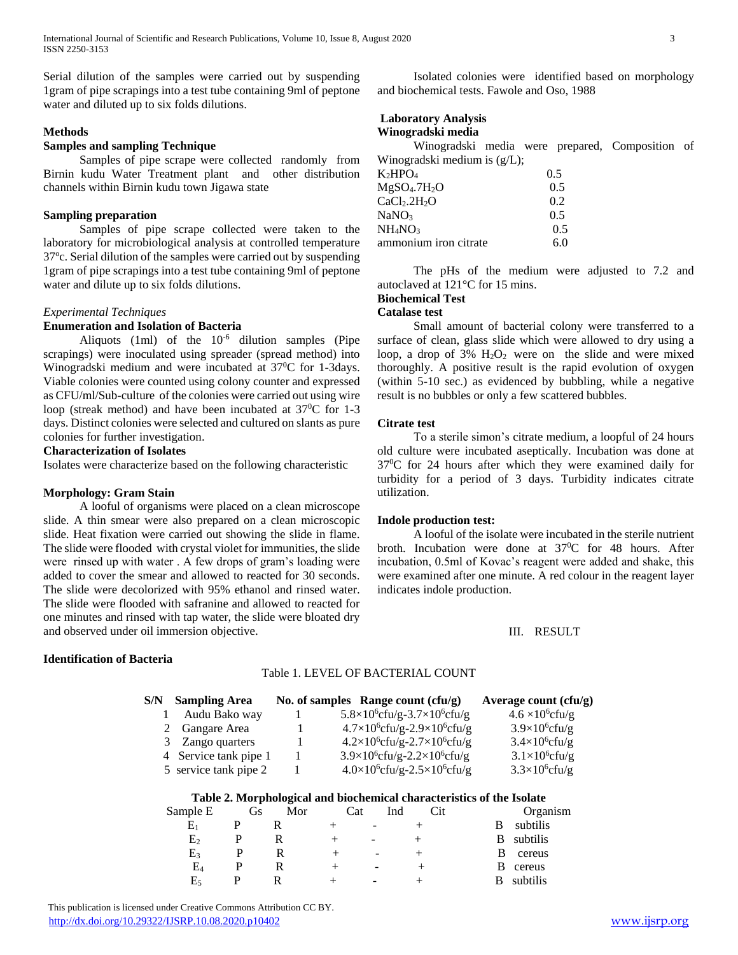Serial dilution of the samples were carried out by suspending 1gram of pipe scrapings into a test tube containing 9ml of peptone water and diluted up to six folds dilutions.

#### **Methods**

# **Samples and sampling Technique**

 Samples of pipe scrape were collected randomly from Birnin kudu Water Treatment plant and other distribution channels within Birnin kudu town Jigawa state

#### **Sampling preparation**

 Samples of pipe scrape collected were taken to the laboratory for microbiological analysis at controlled temperature 37<sup>o</sup>c. Serial dilution of the samples were carried out by suspending 1gram of pipe scrapings into a test tube containing 9ml of peptone water and dilute up to six folds dilutions.

# *Experimental Techniques*

# **Enumeration and Isolation of Bacteria**

Aliquots (1ml) of the  $10^{-6}$  dilution samples (Pipe scrapings) were inoculated using spreader (spread method) into Winogradski medium and were incubated at 37<sup>0</sup>C for 1-3days. Viable colonies were counted using colony counter and expressed as CFU/ml/Sub-culture of the colonies were carried out using wire loop (streak method) and have been incubated at  $37^0C$  for 1-3 days. Distinct colonies were selected and cultured on slants as pure colonies for further investigation.

#### **Characterization of Isolates**

Isolates were characterize based on the following characteristic

#### **Morphology: Gram Stain**

 A looful of organisms were placed on a clean microscope slide. A thin smear were also prepared on a clean microscopic slide. Heat fixation were carried out showing the slide in flame. The slide were flooded with crystal violet for immunities, the slide were rinsed up with water . A few drops of gram's loading were added to cover the smear and allowed to reacted for 30 seconds. The slide were decolorized with 95% ethanol and rinsed water. The slide were flooded with safranine and allowed to reacted for one minutes and rinsed with tap water, the slide were bloated dry and observed under oil immersion objective.

#### **Identification of Bacteria**

# Table 1. LEVEL OF BACTERIAL COUNT

| S/N | <b>Sampling Area</b>  |  | No. of samples Range count (cfu/g)                | Average count $(cfu/g)$ |
|-----|-----------------------|--|---------------------------------------------------|-------------------------|
|     | Audu Bako way         |  | $5.8\times10^{6}$ cfu/g-3.7 $\times10^{6}$ cfu/g  | $4.6 \times 10^6$ cfu/g |
|     | 2 Gangare Area        |  | $4.7\times10^{6}$ cfu/g-2.9×10 <sup>6</sup> cfu/g | $3.9\times10^{6}$ cfu/g |
|     | 3 Zango quarters      |  | $4.2\times10^{6}$ cfu/g-2.7×10 <sup>6</sup> cfu/g | $3.4\times10^{6}$ cfu/g |
|     | 4 Service tank pipe 1 |  | $3.9\times10^{6}$ cfu/g-2.2×10 <sup>6</sup> cfu/g | $3.1\times10^{6}$ cfu/g |
|     | 5 service tank pipe 2 |  | $4.0\times10^{6}$ cfu/g-2.5×10 <sup>6</sup> cfu/g | $3.3\times10^{6}$ cfu/g |
|     |                       |  |                                                   |                         |

| Sample E       | Gs | ີ<br>Mor | Cat |                              | Ind<br>Cit               |   | Organism |
|----------------|----|----------|-----|------------------------------|--------------------------|---|----------|
| $\rm E_{1}$    |    |          |     | -                            |                          |   | subtilis |
| E <sub>2</sub> | D  |          |     | $\qquad \qquad \blacksquare$ | $^+$                     | B | subtilis |
| E٩             | D  |          |     | $\overline{\phantom{a}}$     | $\mathrm{+}$             |   | cereus   |
| E4             |    |          |     | $\overline{\phantom{0}}$     | $\overline{\phantom{0}}$ | в | cereus   |
| E٢             | D  |          |     | $\qquad \qquad \blacksquare$ | $\div$                   |   | subtilis |

 Isolated colonies were identified based on morphology and biochemical tests. Fawole and Oso, 1988

# **Laboratory Analysis**

# **Winogradski media**

 Winogradski media were prepared, Composition of Winogradski medium is (g/L);

| $K_2HPO_4$                           | 0.5 |
|--------------------------------------|-----|
| MgSO <sub>4</sub> .7H <sub>2</sub> O | 0.5 |
| CaCl <sub>2</sub> .2H <sub>2</sub> O | 0.2 |
| NaNO <sub>3</sub>                    | 0.5 |
| NH <sub>4</sub> NO <sub>3</sub>      | 0.5 |
| ammonium iron citrate                | 6.0 |

 The pHs of the medium were adjusted to 7.2 and autoclaved at 121°C for 15 mins.

### **Biochemical Test**

#### **Catalase test**

 Small amount of bacterial colony were transferred to a surface of clean, glass slide which were allowed to dry using a loop, a drop of  $3\%$  H<sub>2</sub>O<sub>2</sub> were on the slide and were mixed thoroughly. A positive result is the rapid evolution of oxygen (within 5-10 sec.) as evidenced by bubbling, while a negative result is no bubbles or only a few scattered bubbles.

#### **Citrate test**

 To a sterile simon's citrate medium, a loopful of 24 hours old culture were incubated aseptically. Incubation was done at  $37^0C$  for 24 hours after which they were examined daily for turbidity for a period of 3 days. Turbidity indicates citrate utilization.

#### **Indole production test:**

 A looful of the isolate were incubated in the sterile nutrient broth. Incubation were done at  $37^{\circ}$ C for 48 hours. After incubation, 0.5ml of Kovac's reagent were added and shake, this were examined after one minute. A red colour in the reagent layer indicates indole production.

III. RESULT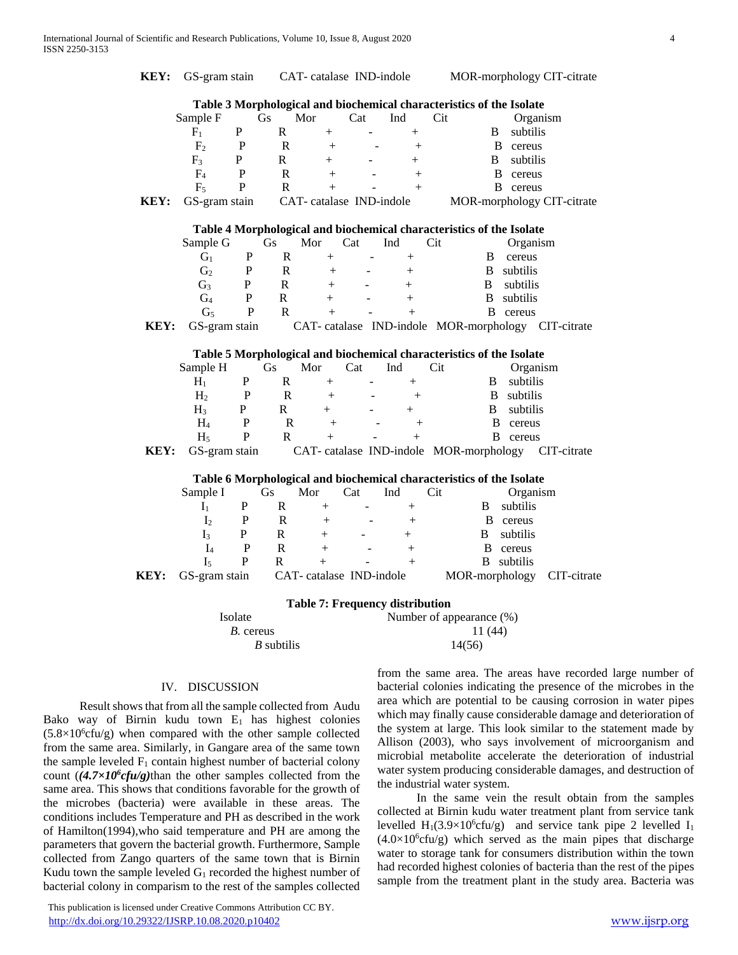|                                                                      |                |                             |                             |                |                          |                    | Table 3 Morphological and biochemical characteristics of the Isolate |                  |                            |
|----------------------------------------------------------------------|----------------|-----------------------------|-----------------------------|----------------|--------------------------|--------------------|----------------------------------------------------------------------|------------------|----------------------------|
|                                                                      | Sample F       |                             | Mor<br>Gs                   |                | Cat                      | Ind                | Cit                                                                  |                  | Organism                   |
|                                                                      | $F_1$          | $\mathbf{P}$                | $\mathbb{R}$                | $\overline{+}$ |                          | $+$                |                                                                      | subtilis<br>B    |                            |
|                                                                      | F <sub>2</sub> | $\mathbf P$                 | $\mathbb{R}$                | $+$            |                          | $^{+}$             |                                                                      | B cereus         |                            |
|                                                                      | $F_3$          | P                           | $\mathbf R$                 | $^{+}$         |                          | $^{+}$             |                                                                      | B<br>subtilis    |                            |
|                                                                      | F <sub>4</sub> | $\mathbf{P}$                | $\mathbf R$                 | $+$            |                          | $+$                |                                                                      | B cereus         |                            |
|                                                                      | $F_5$          | P                           | $\mathbb{R}$                | $+$            |                          | $^{+}$             |                                                                      | B<br>cereus      |                            |
| KEY:                                                                 | GS-gram stain  |                             | CAT-catalase IND-indole     |                |                          |                    |                                                                      |                  | MOR-morphology CIT-citrate |
|                                                                      |                |                             |                             |                |                          |                    | Table 4 Morphological and biochemical characteristics of the Isolate |                  |                            |
|                                                                      | Sample G       |                             | Gs<br>Mor                   |                | Cat                      | Ind                | Cit                                                                  | Organism         |                            |
|                                                                      | $G_1$          | ${\bf P}$                   | $\mathbf R$                 | $^{+}$         |                          | $^{+}$             |                                                                      | B<br>cereus      |                            |
|                                                                      | G <sub>2</sub> | ${\bf P}$                   | $\mathbb{R}$                | $+$            | $\frac{1}{2}$            | $+$                |                                                                      | subtilis<br>B    |                            |
|                                                                      | $G_3$          | P                           | $\mathbb{R}$                | $+$            |                          | $+$                |                                                                      | subtilis<br>B    |                            |
|                                                                      | G <sub>4</sub> | $\mathbf{P}$                | $\mathbb{R}$                | $^{+}$         |                          | $+$                |                                                                      | B<br>subtilis    |                            |
|                                                                      | G <sub>5</sub> | $\mathbf P$                 | $\mathbf{R}$                | $^{+}$         |                          | $+$                |                                                                      | B<br>cereus      |                            |
| KEY:                                                                 | GS-gram stain  |                             |                             |                |                          |                    | CAT-catalase IND-indole MOR-morphology CIT-citrate                   |                  |                            |
|                                                                      |                |                             |                             |                |                          |                    |                                                                      |                  |                            |
| Table 5 Morphological and biochemical characteristics of the Isolate |                |                             |                             |                |                          |                    |                                                                      |                  |                            |
|                                                                      | Sample H       |                             | Mor<br><b>Gs</b>            |                | Cat                      | Ind                | Cit                                                                  |                  | Organism                   |
|                                                                      | $H_1$          | $\mathbf{P}$                | $\mathbb{R}$                | $+$            | ÷,                       | $+$                |                                                                      | subtilis<br>B    |                            |
|                                                                      | H <sub>2</sub> | $\mathbf{P}$                | $\mathbb{R}$                | $+$<br>$+$     | $\blacksquare$           | $^{+}$             |                                                                      | B<br>subtilis    |                            |
|                                                                      | $H_3$          | $\mathbf{P}$                | $\mathbf R$                 |                |                          | $+$                |                                                                      | B<br>subtilis    |                            |
|                                                                      | $H_4$<br>$H_5$ | $\mathbf P$<br>$\mathbf{P}$ | $\mathbf R$<br>$\mathsf{R}$ | $+$            |                          | $^{+}$             |                                                                      | B<br>cereus<br>B |                            |
|                                                                      |                |                             |                             | $+$            |                          | $^{+}$             |                                                                      | cereus           |                            |
| KEY:                                                                 | GS-gram stain  |                             |                             |                |                          |                    | CAT-catalase IND-indole MOR-morphology                               |                  | CIT-citrate                |
|                                                                      |                |                             |                             |                |                          |                    | Table 6 Morphological and biochemical characteristics of the Isolate |                  |                            |
|                                                                      | Sample I       |                             | Mor<br><b>Gs</b>            |                | Cat                      | Ind                | Cit                                                                  | Organism         |                            |
|                                                                      | I <sub>1</sub> | $\mathbf{P}$                | $\mathbf{R}$                | $^{+}$         | $\overline{a}$           | $^{+}$             | B                                                                    | subtilis         |                            |
|                                                                      | I <sub>2</sub> | P                           | $\mathbf R$                 |                | $\overline{\phantom{m}}$ | $^{+}$             |                                                                      | B<br>cereus      |                            |
|                                                                      | I <sub>3</sub> | P                           | $\mathbf{R}$                | $+$            |                          | $^{+}$             | B                                                                    | subtilis         |                            |
|                                                                      | I <sub>4</sub> | P                           | $\mathbf{R}$                | $+$            |                          | $\hspace{0.1mm} +$ | B                                                                    | cereus           |                            |
|                                                                      | I <sub>5</sub> | P                           | $\mathbf{R}$                | $^{+}$         |                          | $^{+}$             | <sub>B</sub>                                                         | subtilis         |                            |
| KEY:                                                                 | GS-gram stain  |                             | CAT-catalase IND-indole     |                |                          |                    |                                                                      | MOR-morphology   | CIT-citrate                |
|                                                                      |                |                             |                             |                |                          |                    |                                                                      |                  |                            |

**KEY:** GS-gram stain CAT- catalase IND-indole MOR-morphology CIT-citrate

# **Table 7: Frequency distribution**

| Number of appearance (%) |  |  |  |
|--------------------------|--|--|--|
| 11 (44)                  |  |  |  |
| 14(56)                   |  |  |  |
|                          |  |  |  |

#### IV. DISCUSSION

 Result shows that from all the sample collected from Audu Bako way of Birnin kudu town  $E_1$  has highest colonies  $(5.8\times10^{6}$ cfu/g) when compared with the other sample collected from the same area. Similarly, in Gangare area of the same town the sample leveled  $F_1$  contain highest number of bacterial colony count (*(4.7×10<sup>6</sup> cfu/g)*than the other samples collected from the same area. This shows that conditions favorable for the growth of the microbes (bacteria) were available in these areas. The conditions includes Temperature and PH as described in the work of Hamilton(1994),who said temperature and PH are among the parameters that govern the bacterial growth. Furthermore, Sample collected from Zango quarters of the same town that is Birnin Kudu town the sample leveled  $G_1$  recorded the highest number of bacterial colony in comparism to the rest of the samples collected

from the same area. The areas have recorded large number of bacterial colonies indicating the presence of the microbes in the area which are potential to be causing corrosion in water pipes which may finally cause considerable damage and deterioration of the system at large. This look similar to the statement made by Allison (2003), who says involvement of microorganism and microbial metabolite accelerate the deterioration of industrial water system producing considerable damages, and destruction of the industrial water system.

 In the same vein the result obtain from the samples collected at Birnin kudu water treatment plant from service tank levelled  $H_1(3.9 \times 10^6$ cfu/g) and service tank pipe 2 levelled  $I_1$  $(4.0\times10^{6}$ cfu/g) which served as the main pipes that discharge water to storage tank for consumers distribution within the town had recorded highest colonies of bacteria than the rest of the pipes sample from the treatment plant in the study area. Bacteria was

 This publication is licensed under Creative Commons Attribution CC BY. <http://dx.doi.org/10.29322/IJSRP.10.08.2020.p10402> [www.ijsrp.org](http://ijsrp.org/)